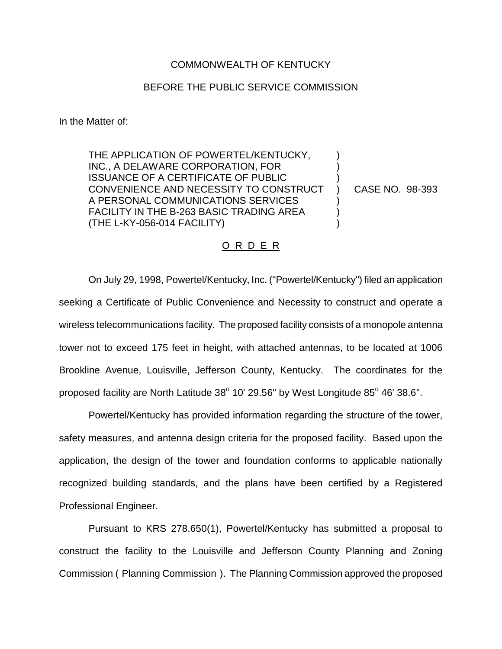## COMMONWEALTH OF KENTUCKY

## BEFORE THE PUBLIC SERVICE COMMISSION

In the Matter of:

THE APPLICATION OF POWERTEL/KENTUCKY, INC., A DELAWARE CORPORATION, FOR ISSUANCE OF A CERTIFICATE OF PUBLIC CONVENIENCE AND NECESSITY TO CONSTRUCT A PERSONAL COMMUNICATIONS SERVICES FACILITY IN THE B-263 BASIC TRADING AREA (THE L-KY-056-014 FACILITY)

CASE NO. 98-393

) ) ) ) ) ) )

## O R D E R

On July 29, 1998, Powertel/Kentucky, Inc. ("Powertel/Kentucky") filed an application seeking a Certificate of Public Convenience and Necessity to construct and operate a wireless telecommunications facility. The proposed facility consists of a monopole antenna tower not to exceed 175 feet in height, with attached antennas, to be located at 1006 Brookline Avenue, Louisville, Jefferson County, Kentucky. The coordinates for the proposed facility are North Latitude  $38^{\circ}$  10' 29.56" by West Longitude  $85^{\circ}$  46' 38.6".

Powertel/Kentucky has provided information regarding the structure of the tower, safety measures, and antenna design criteria for the proposed facility. Based upon the application, the design of the tower and foundation conforms to applicable nationally recognized building standards, and the plans have been certified by a Registered Professional Engineer.

Pursuant to KRS 278.650(1), Powertel/Kentucky has submitted a proposal to construct the facility to the Louisville and Jefferson County Planning and Zoning Commission ( Planning Commission ). The Planning Commission approved the proposed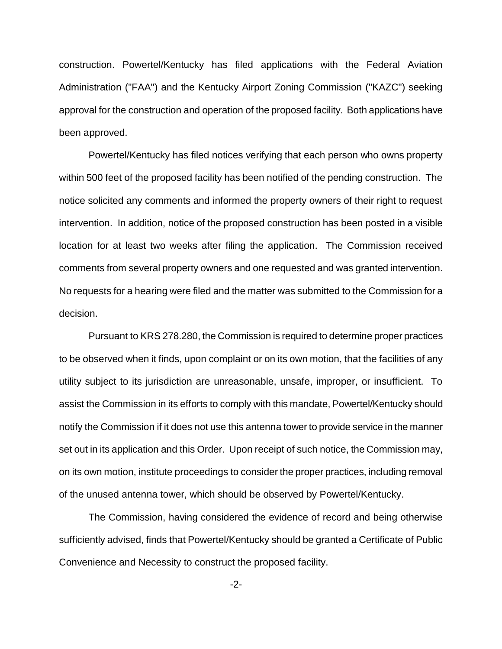construction. Powertel/Kentucky has filed applications with the Federal Aviation Administration ("FAA") and the Kentucky Airport Zoning Commission ("KAZC") seeking approval for the construction and operation of the proposed facility. Both applications have been approved.

Powertel/Kentucky has filed notices verifying that each person who owns property within 500 feet of the proposed facility has been notified of the pending construction. The notice solicited any comments and informed the property owners of their right to request intervention. In addition, notice of the proposed construction has been posted in a visible location for at least two weeks after filing the application. The Commission received comments from several property owners and one requested and was granted intervention. No requests for a hearing were filed and the matter was submitted to the Commission for a decision.

Pursuant to KRS 278.280, the Commission is required to determine proper practices to be observed when it finds, upon complaint or on its own motion, that the facilities of any utility subject to its jurisdiction are unreasonable, unsafe, improper, or insufficient. To assist the Commission in its efforts to comply with this mandate, Powertel/Kentucky should notify the Commission if it does not use this antenna tower to provide service in the manner set out in its application and this Order. Upon receipt of such notice, the Commission may, on its own motion, institute proceedings to consider the proper practices, including removal of the unused antenna tower, which should be observed by Powertel/Kentucky.

The Commission, having considered the evidence of record and being otherwise sufficiently advised, finds that Powertel/Kentucky should be granted a Certificate of Public Convenience and Necessity to construct the proposed facility.

-2-